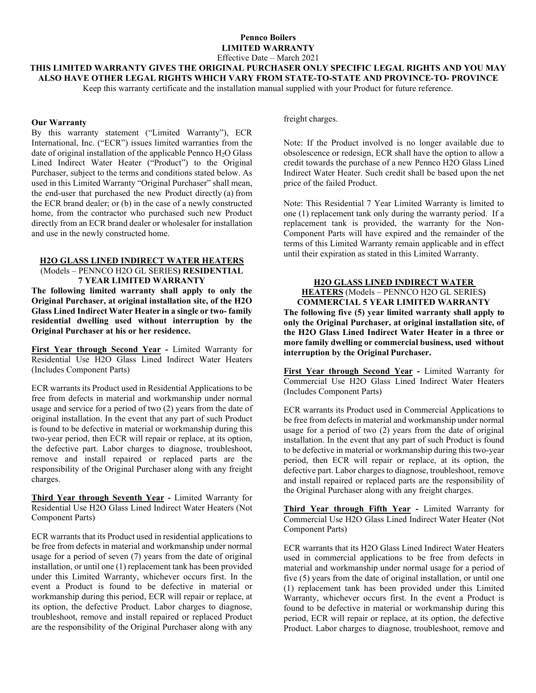# **Pennco Boilers LIMITED WARRANTY**

Effective Date – March 2021

**THIS LIMITED WARRANTY GIVES THE ORIGINAL PURCHASER ONLY SPECIFIC LEGAL RIGHTS AND YOU MAY ALSO HAVE OTHER LEGAL RIGHTS WHICH VARY FROM STATE-TO-STATE AND PROVINCE-TO- PROVINCE**

Keep this warranty certificate and the installation manual supplied with your Product for future reference.

#### **Our Warranty**

By this warranty statement ("Limited Warranty"), ECR International, Inc. ("ECR") issues limited warranties from the date of original installation of the applicable Pennco  $H_2O$  Glass Lined Indirect Water Heater ("Product") to the Original Purchaser, subject to the terms and conditions stated below. As used in this Limited Warranty "Original Purchaser" shall mean, the end-user that purchased the new Product directly (a) from the ECR brand dealer; or (b) in the case of a newly constructed home, from the contractor who purchased such new Product directly from an ECR brand dealer or wholesaler for installation and use in the newly constructed home.

#### **H2O GLASS LINED INDIRECT WATER HEATERS**

(Models – PENNCO H2O GL SERIES**) RESIDENTIAL 7 YEAR LIMITED WARRANTY**

**The following limited warranty shall apply to only the Original Purchaser, at original installation site, of the H2O Glass Lined Indirect Water Heater in a single or two- family residential dwelling used without interruption by the Original Purchaser at his or her residence.**

**First Year through Second Year -** Limited Warranty for Residential Use H2O Glass Lined Indirect Water Heaters (Includes Component Parts)

ECR warrants its Product used in Residential Applications to be free from defects in material and workmanship under normal usage and service for a period of two (2) years from the date of original installation. In the event that any part of such Product is found to be defective in material or workmanship during this two-year period, then ECR will repair or replace, at its option, the defective part. Labor charges to diagnose, troubleshoot, remove and install repaired or replaced parts are the responsibility of the Original Purchaser along with any freight charges.

**Third Year through Seventh Year -** Limited Warranty for Residential Use H2O Glass Lined Indirect Water Heaters (Not Component Parts)

ECR warrants that its Product used in residential applications to be free from defects in material and workmanship under normal usage for a period of seven (7) years from the date of original installation, or until one (1) replacement tank has been provided under this Limited Warranty, whichever occurs first. In the event a Product is found to be defective in material or workmanship during this period, ECR will repair or replace, at its option, the defective Product. Labor charges to diagnose, troubleshoot, remove and install repaired or replaced Product are the responsibility of the Original Purchaser along with any

freight charges.

Note: If the Product involved is no longer available due to obsolescence or redesign, ECR shall have the option to allow a credit towards the purchase of a new Pennco H2O Glass Lined Indirect Water Heater. Such credit shall be based upon the net price of the failed Product.

Note: This Residential 7 Year Limited Warranty is limited to one (1) replacement tank only during the warranty period. If a replacement tank is provided, the warranty for the Non-Component Parts will have expired and the remainder of the terms of this Limited Warranty remain applicable and in effect until their expiration as stated in this Limited Warranty.

## **H2O GLASS LINED INDIRECT WATER**

**HEATERS** (Models – PENNCO H2O GL SERIES**) COMMERCIAL 5 YEAR LIMITED WARRANTY The following five (5) year limited warranty shall apply to** 

**only the Original Purchaser, at original installation site, of the H2O Glass Lined Indirect Water Heater in a three or more family dwelling or commercial business, used without interruption by the Original Purchaser.**

**First Year through Second Year -** Limited Warranty for Commercial Use H2O Glass Lined Indirect Water Heaters (Includes Component Parts)

ECR warrants its Product used in Commercial Applications to be free from defects in material and workmanship under normal usage for a period of two (2) years from the date of original installation. In the event that any part of such Product is found to be defective in material or workmanship during this two-year period, then ECR will repair or replace, at its option, the defective part. Labor charges to diagnose, troubleshoot, remove and install repaired or replaced parts are the responsibility of the Original Purchaser along with any freight charges.

**Third Year through Fifth Year -** Limited Warranty for Commercial Use H2O Glass Lined Indirect Water Heater (Not Component Parts)

ECR warrants that its H2O Glass Lined Indirect Water Heaters used in commercial applications to be free from defects in material and workmanship under normal usage for a period of five (5) years from the date of original installation, or until one (1) replacement tank has been provided under this Limited Warranty, whichever occurs first. In the event a Product is found to be defective in material or workmanship during this period, ECR will repair or replace, at its option, the defective Product. Labor charges to diagnose, troubleshoot, remove and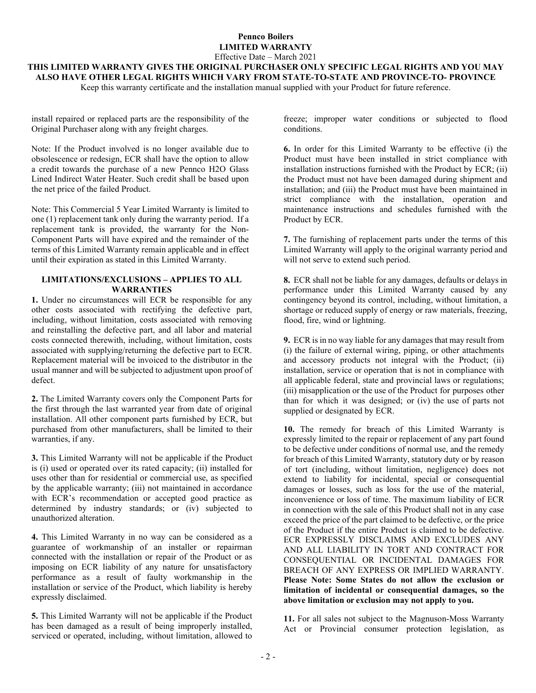## **Pennco Boilers LIMITED WARRANTY** Effective Date – March 2021

**THIS LIMITED WARRANTY GIVES THE ORIGINAL PURCHASER ONLY SPECIFIC LEGAL RIGHTS AND YOU MAY ALSO HAVE OTHER LEGAL RIGHTS WHICH VARY FROM STATE-TO-STATE AND PROVINCE-TO- PROVINCE**

Keep this warranty certificate and the installation manual supplied with your Product for future reference.

install repaired or replaced parts are the responsibility of the Original Purchaser along with any freight charges.

Note: If the Product involved is no longer available due to obsolescence or redesign, ECR shall have the option to allow a credit towards the purchase of a new Pennco H2O Glass Lined Indirect Water Heater. Such credit shall be based upon the net price of the failed Product.

Note: This Commercial 5 Year Limited Warranty is limited to one (1) replacement tank only during the warranty period. If a replacement tank is provided, the warranty for the Non-Component Parts will have expired and the remainder of the terms of this Limited Warranty remain applicable and in effect until their expiration as stated in this Limited Warranty.

## **LIMITATIONS/EXCLUSIONS – APPLIES TO ALL WARRANTIES**

**1.** Under no circumstances will ECR be responsible for any other costs associated with rectifying the defective part, including, without limitation, costs associated with removing and reinstalling the defective part, and all labor and material costs connected therewith, including, without limitation, costs associated with supplying/returning the defective part to ECR. Replacement material will be invoiced to the distributor in the usual manner and will be subjected to adjustment upon proof of defect.

**2.** The Limited Warranty covers only the Component Parts for the first through the last warranted year from date of original installation. All other component parts furnished by ECR, but purchased from other manufacturers, shall be limited to their warranties, if any.

**3.** This Limited Warranty will not be applicable if the Product is (i) used or operated over its rated capacity; (ii) installed for uses other than for residential or commercial use, as specified by the applicable warranty; (iii) not maintained in accordance with ECR's recommendation or accepted good practice as determined by industry standards; or (iv) subjected to unauthorized alteration.

**4.** This Limited Warranty in no way can be considered as a guarantee of workmanship of an installer or repairman connected with the installation or repair of the Product or as imposing on ECR liability of any nature for unsatisfactory performance as a result of faulty workmanship in the installation or service of the Product, which liability is hereby expressly disclaimed.

**5.** This Limited Warranty will not be applicable if the Product has been damaged as a result of being improperly installed, serviced or operated, including, without limitation, allowed to

freeze; improper water conditions or subjected to flood conditions.

**6.** In order for this Limited Warranty to be effective (i) the Product must have been installed in strict compliance with installation instructions furnished with the Product by ECR; (ii) the Product must not have been damaged during shipment and installation; and (iii) the Product must have been maintained in strict compliance with the installation, operation and maintenance instructions and schedules furnished with the Product by ECR.

**7.** The furnishing of replacement parts under the terms of this Limited Warranty will apply to the original warranty period and will not serve to extend such period.

**8.** ECR shall not be liable for any damages, defaults or delays in performance under this Limited Warranty caused by any contingency beyond its control, including, without limitation, a shortage or reduced supply of energy or raw materials, freezing, flood, fire, wind or lightning.

**9.** ECR is in no way liable for any damages that may result from (i) the failure of external wiring, piping, or other attachments and accessory products not integral with the Product; (ii) installation, service or operation that is not in compliance with all applicable federal, state and provincial laws or regulations; (iii) misapplication or the use of the Product for purposes other than for which it was designed; or (iv) the use of parts not supplied or designated by ECR.

**10.** The remedy for breach of this Limited Warranty is expressly limited to the repair or replacement of any part found to be defective under conditions of normal use, and the remedy for breach of this Limited Warranty, statutory duty or by reason of tort (including, without limitation, negligence) does not extend to liability for incidental, special or consequential damages or losses, such as loss for the use of the material, inconvenience or loss of time. The maximum liability of ECR in connection with the sale of this Product shall not in any case exceed the price of the part claimed to be defective, or the price of the Product if the entire Product is claimed to be defective. ECR EXPRESSLY DISCLAIMS AND EXCLUDES ANY AND ALL LIABILITY IN TORT AND CONTRACT FOR CONSEQUENTIAL OR INCIDENTAL DAMAGES FOR BREACH OF ANY EXPRESS OR IMPLIED WARRANTY. **Please Note: Some States do not allow the exclusion or limitation of incidental or consequential damages, so the above limitation or exclusion may not apply to you.**

**11.** For all sales not subject to the Magnuson-Moss Warranty Act or Provincial consumer protection legislation, as